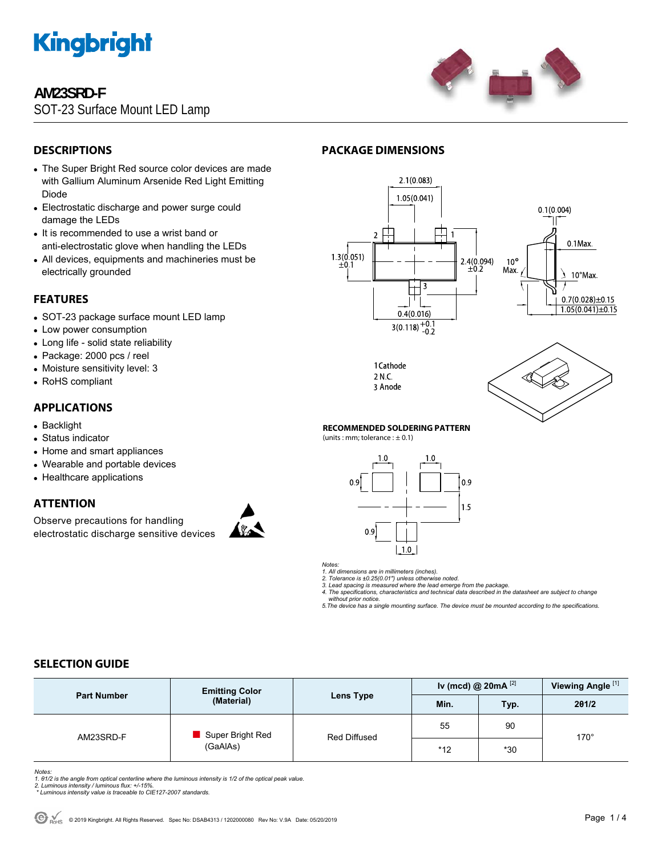

# **AM23SRD-F**

SOT-23 Surface Mount LED Lamp



## **DESCRIPTIONS**

- The Super Bright Red source color devices are made with Gallium Aluminum Arsenide Red Light Emitting Diode
- Electrostatic discharge and power surge could damage the LEDs
- It is recommended to use a wrist band or anti-electrostatic glove when handling the LEDs
- All devices, equipments and machineries must be electrically grounded

### **FEATURES**

- SOT-23 package surface mount LED lamp
- Low power consumption
- Long life solid state reliability
- Package: 2000 pcs / reel
- Moisture sensitivity level: 3
- RoHS compliant

### **APPLICATIONS**

- Backlight
- Status indicator
- Home and smart appliances
- Wearable and portable devices
- Healthcare applications

### **ATTENTION**

Observe precautions for handling electrostatic discharge sensitive devices



## **PACKAGE DIMENSIONS**



1 Cathode 2 N.C. 3 Anode



#### **RECOMMENDED SOLDERING PATTERN**

 $(units:mm:tolerance:  $\pm$  0.1)$ 



*Notes:* 

*1. All dimensions are in millimeters (inches). 2. Tolerance is ±0.25(0.01") unless otherwise noted.* 

*3. Lead spacing is measured where the lead emerge from the package. 4. The specifications, characteristics and technical data described in the datasheet are subject to change* 

 *without prior notice. 5.The device has a single mounting surface. The device must be mounted according to the specifications.* 

### **SELECTION GUIDE**

| <b>Part Number</b> | <b>Emitting Color</b><br>(Material) | Lens Type    | Iv (mcd) @ $20mA$ <sup>[2]</sup> |            | Viewing Angle <sup>[1]</sup> |  |
|--------------------|-------------------------------------|--------------|----------------------------------|------------|------------------------------|--|
|                    |                                     |              | Min.                             | <b>Typ</b> | 201/2                        |  |
| AM23SRD-F          | Super Bright Red<br>(GaAlAs)        | Red Diffused | 55                               | 90         | $170^\circ$                  |  |
|                    |                                     |              | $*12$                            | $*30$      |                              |  |

*Notes:* 

1. 01/2 is the angle from optical centerline where the luminous intensity is 1/2 of the optical peak value.<br>2. Luminous intensity / luminous flux: +/-15%.<br>\* Luminous intensity value is traceable to CIE127-2007 standards.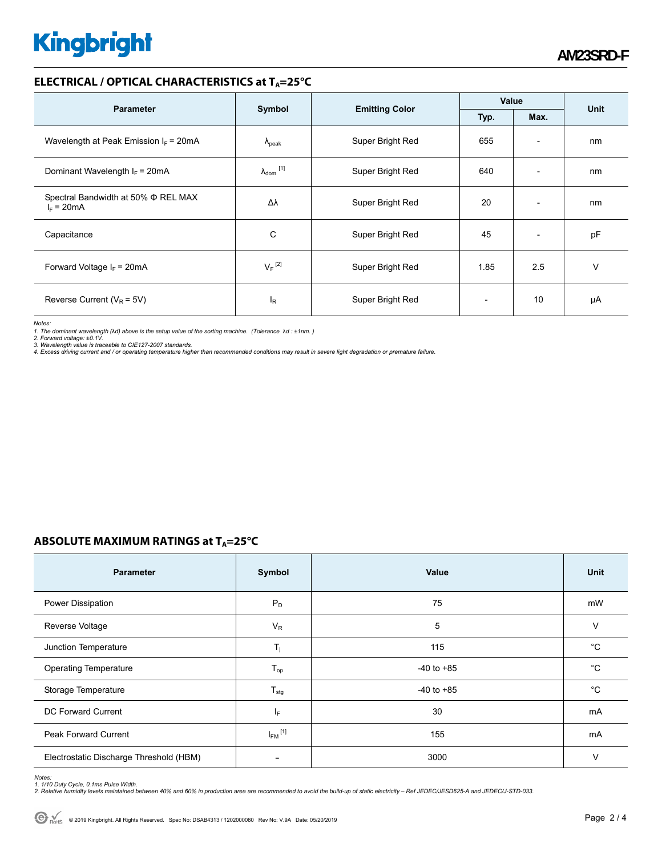# **Kingbright**

### **ELECTRICAL / OPTICAL CHARACTERISTICS at T<sub>A</sub>=25°C**

| <b>Parameter</b>                                    |                                                 |                  | Value |                          | <b>Unit</b> |
|-----------------------------------------------------|-------------------------------------------------|------------------|-------|--------------------------|-------------|
|                                                     | Symbol<br><b>Emitting Color</b><br>Typ.<br>Max. |                  |       |                          |             |
| Wavelength at Peak Emission $I_F$ = 20mA            | $\lambda_{\rm peak}$                            | Super Bright Red | 655   | $\overline{\phantom{a}}$ | nm          |
| Dominant Wavelength $I_F = 20 \text{mA}$            | $\lambda_{dom}$ [1]                             | Super Bright Red | 640   | $\overline{\phantom{a}}$ | nm          |
| Spectral Bandwidth at 50% Φ REL MAX<br>$I_F = 20mA$ | Δλ                                              | Super Bright Red | 20    | $\overline{\phantom{a}}$ | nm          |
| Capacitance                                         | С                                               | Super Bright Red | 45    | $\overline{\phantom{a}}$ | pF          |
| Forward Voltage $I_F$ = 20mA                        | $V_F$ <sup>[2]</sup>                            | Super Bright Red | 1.85  | 2.5                      | v           |
| Reverse Current ( $V_R$ = 5V)                       | ΙR                                              | Super Bright Red |       | 10                       | μA          |

*Notes:* 

1. The dominant wavelength (λd) above is the setup value of the sorting machine. (Tolerance λd : ±1nm. )<br>2. Forward voltage: ±0.1V.<br>3. Wavelength value is traceable to CIE127-2007 standards.<br>4. Excess driving current and /

## **ABSOLUTE MAXIMUM RATINGS at T<sub>A</sub>=25°C**

| <b>Parameter</b>                        | Symbol                     | Value          | Unit         |
|-----------------------------------------|----------------------------|----------------|--------------|
| Power Dissipation                       | $P_D$                      | 75             | mW           |
| Reverse Voltage                         | $V_R$                      | 5              | $\vee$       |
| Junction Temperature                    | $T_j$                      | 115            | $^{\circ}C$  |
| <b>Operating Temperature</b>            | $\mathsf{T}_{\mathsf{op}}$ | $-40$ to $+85$ | °C           |
| Storage Temperature                     | $T_{\text{stg}}$           | $-40$ to $+85$ | $^{\circ}$ C |
| DC Forward Current                      | lF.                        | 30             | mA           |
| <b>Peak Forward Current</b>             | $I_{FM}$ <sup>[1]</sup>    | 155            | mA           |
| Electrostatic Discharge Threshold (HBM) |                            | 3000           | $\vee$       |

Notes:<br>1. 1/10 Duty Cycle, 0.1ms Pulse Width.<br>2. Relative humidity levels maintained between 40% and 60% in production area are recommended to avoid the build-up of static electricity – Ref JEDEC/JESD625-A and JEDEC/J-STD-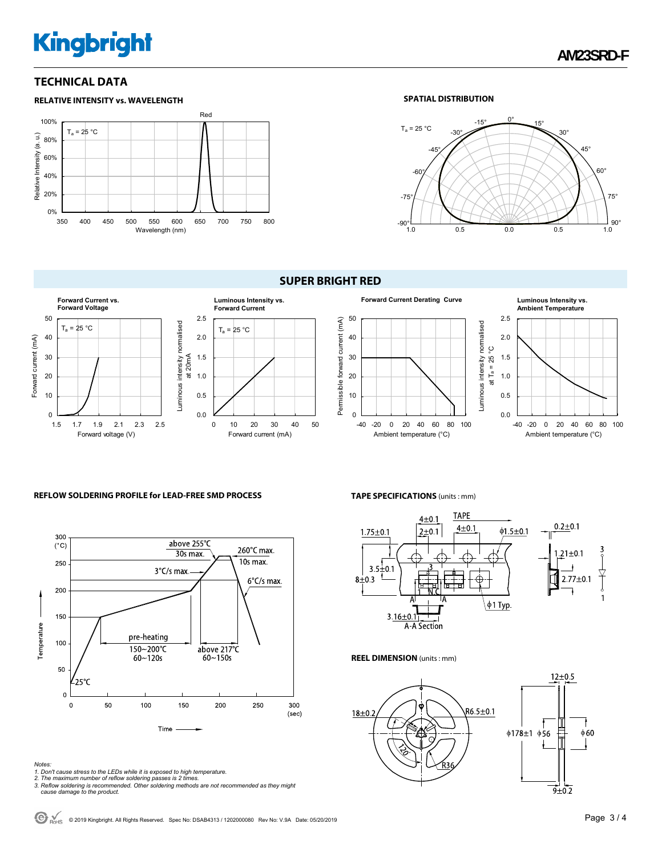# **Kingbright**

### **TECHNICAL DATA**



#### **SPATIAL DISTRIBUTION**



#### **SUPER BRIGHT RED**





#### **REFLOW SOLDERING PROFILE for LEAD-FREE SMD PROCESS**



#### *Notes:*

- 
- 
- 1. Don't cause stress to the LEDs while it is exposed to high temperature.<br>2. The maximum number of reflow soldering passes is 2 times.<br>3. Reflow soldering is recommended. Other soldering methods are not recommended as the  *cause damage to the product.*

#### **TAPE SPECIFICATIONS** (units : mm)



#### **REEL DIMENSION** (units : mm)